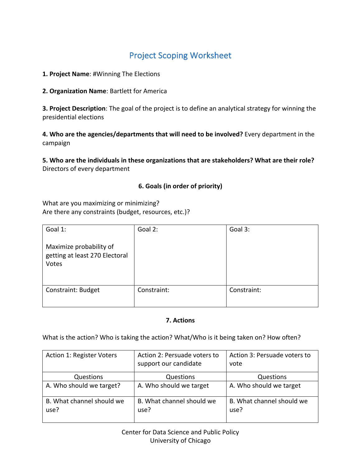# **Project Scoping Worksheet**

1. Project Name: #Winning The Elections

**2. Organization Name: Bartlett for America** 

**3. Project Description**: The goal of the project is to define an analytical strategy for winning the presidential elections

4. Who are the agencies/departments that will need to be involved? Every department in the campaign

5. Who are the individuals in these organizations that are stakeholders? What are their role? Directors of every department

### **6. Goals (in order of priority)**

What are you maximizing or minimizing? Are there any constraints (budget, resources, etc.)?

| Goal 1:                                                            | Goal 2:     | Goal 3:     |
|--------------------------------------------------------------------|-------------|-------------|
| Maximize probability of<br>getting at least 270 Electoral<br>Votes |             |             |
| <b>Constraint: Budget</b>                                          | Constraint: | Constraint: |

#### **7. Actions**

What is the action? Who is taking the action? What/Who is it being taken on? How often?

| Action 1: Register Voters         | Action 2: Persuade voters to<br>support our candidate | Action 3: Persuade voters to<br>vote |
|-----------------------------------|-------------------------------------------------------|--------------------------------------|
| Questions                         | Questions                                             | Questions                            |
| A. Who should we target?          | A. Who should we target                               | A. Who should we target              |
| B. What channel should we<br>use? | B. What channel should we<br>use?                     | B. What channel should we<br>use?    |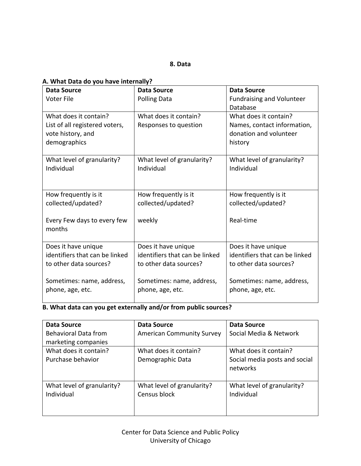### A. What Data do you have internally?

| <b>Data Source</b>                                                                           | <b>Data Source</b>                             | <b>Data Source</b>                                                                        |
|----------------------------------------------------------------------------------------------|------------------------------------------------|-------------------------------------------------------------------------------------------|
| <b>Voter File</b>                                                                            | <b>Polling Data</b>                            | <b>Fundraising and Volunteer</b><br>Database                                              |
| What does it contain?<br>List of all registered voters,<br>vote history, and<br>demographics | What does it contain?<br>Responses to question | What does it contain?<br>Names, contact information,<br>donation and volunteer<br>history |
| What level of granularity?                                                                   | What level of granularity?                     | What level of granularity?                                                                |
| Individual                                                                                   | Individual                                     | Individual                                                                                |
| How frequently is it                                                                         | How frequently is it                           | How frequently is it                                                                      |
| collected/updated?                                                                           | collected/updated?                             | collected/updated?                                                                        |
| Every Few days to every few<br>months                                                        | weekly                                         | Real-time                                                                                 |
| Does it have unique                                                                          | Does it have unique                            | Does it have unique                                                                       |
| identifiers that can be linked                                                               | identifiers that can be linked                 | identifiers that can be linked                                                            |
| to other data sources?                                                                       | to other data sources?                         | to other data sources?                                                                    |
| Sometimes: name, address,                                                                    | Sometimes: name, address,                      | Sometimes: name, address,                                                                 |
| phone, age, etc.                                                                             | phone, age, etc.                               | phone, age, etc.                                                                          |

# **B.** What data can you get externally and/or from public sources?

| <b>Data Source</b>          | <b>Data Source</b>               | <b>Data Source</b>            |
|-----------------------------|----------------------------------|-------------------------------|
| <b>Behavioral Data from</b> | <b>American Community Survey</b> | Social Media & Network        |
| marketing companies         |                                  |                               |
| What does it contain?       | What does it contain?            | What does it contain?         |
| Purchase behavior           | Demographic Data                 | Social media posts and social |
|                             |                                  | networks                      |
|                             |                                  |                               |
| What level of granularity?  | What level of granularity?       | What level of granularity?    |
| Individual                  | Census block                     | Individual                    |
|                             |                                  |                               |
|                             |                                  |                               |